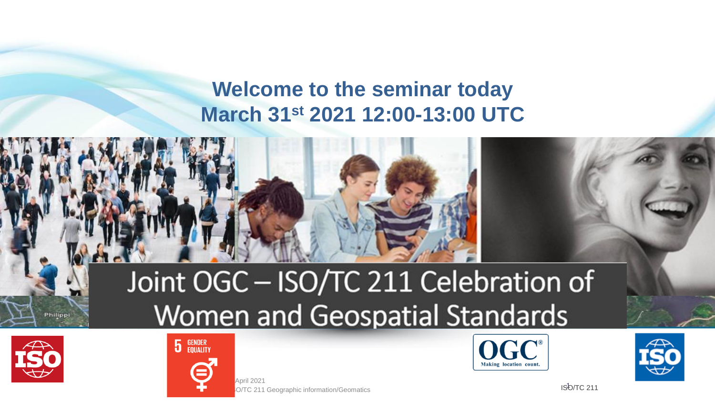## **Welcome to the seminar today March 31st 2021 12:00-13:00 UTC**



# Joint OGC - ISO/TC 211 Celebration of Women and Geospatial Standards



Philipp



O/TC 211 Geographic information/Geomatics April 2021





ISO/TC 211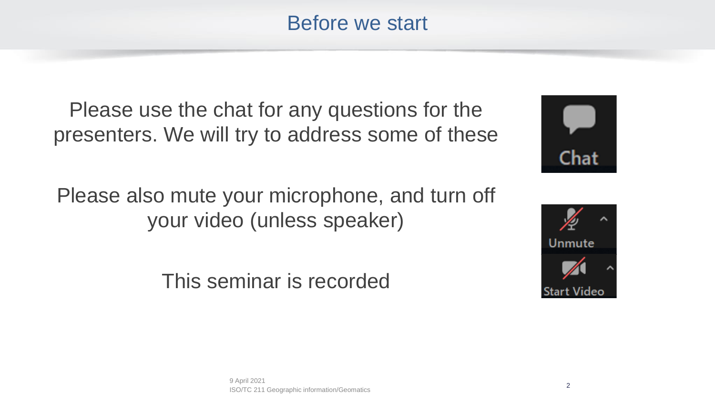Before we start

Please use the chat for any questions for the presenters. We will try to address some of these

Please also mute your microphone, and turn off your video (unless speaker)

This seminar is recorded



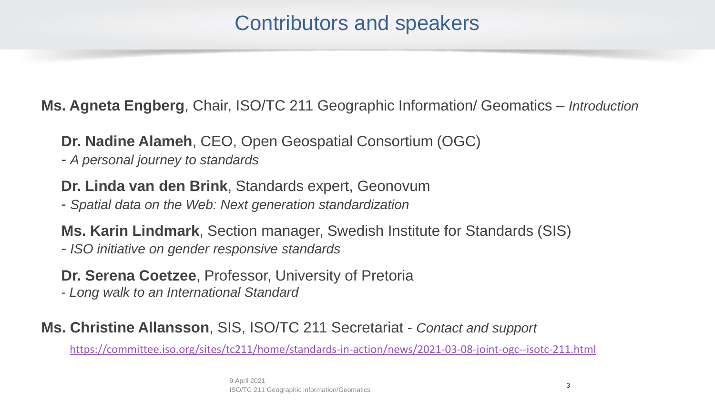## Contributors and speakers

**Ms. Agneta Engberg**, Chair, ISO/TC 211 Geographic Information/ Geomatics – *Introduction*

• **Dr. Nadine Alameh**, CEO, Open Geospatial Consortium (OGC)

*- A personal journey to standards*

• **Dr. Linda van den Brink**, Standards expert, Geonovum

- *Spatial data on the Web: Next generation standardization*

• **Ms. Karin Lindmark**, Section manager, Swedish Institute for Standards (SIS)

*- ISO initiative on gender responsive standards*

• **Dr. Serena Coetzee**, Professor, University of Pretoria

*- Long walk to an International Standard*

#### **Ms. Christine Allansson**, SIS, ISO/TC 211 Secretariat - *Contact and support*

<https://committee.iso.org/sites/tc211/home/standards-in-action/news/2021-03-08-joint-ogc--isotc-211.html>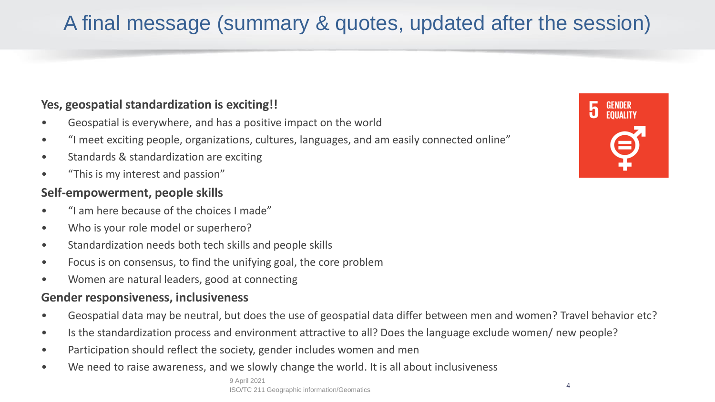# A final message (summary & quotes, updated after the session)

#### **Yes, geospatial standardization is exciting!!**

- Geospatial is everywhere, and has a positive impact on the world
- "I meet exciting people, organizations, cultures, languages, and am easily connected online"
- Standards & standardization are exciting
- "This is my interest and passion"

#### **Self-empowerment, people skills**

- "I am here because of the choices I made"
- Who is your role model or superhero?
- Standardization needs both tech skills and people skills
- Focus is on consensus, to find the unifying goal, the core problem
- Women are natural leaders, good at connecting

#### **Gender responsiveness, inclusiveness**

- Geospatial data may be neutral, but does the use of geospatial data differ between men and women? Travel behavior etc?
- Is the standardization process and environment attractive to all? Does the language exclude women/ new people?
- Participation should reflect the society, gender includes women and men
- We need to raise awareness, and we slowly change the world. It is all about inclusiveness

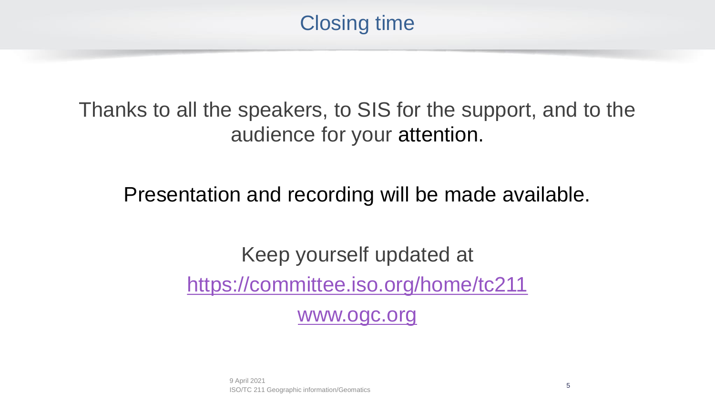

Thanks to all the speakers, to SIS for the support, and to the audience for your attention.

Presentation and recording will be made available.

Keep yourself updated at <https://committee.iso.org/home/tc211>

[www.ogc.org](http://www.ogc.org/)